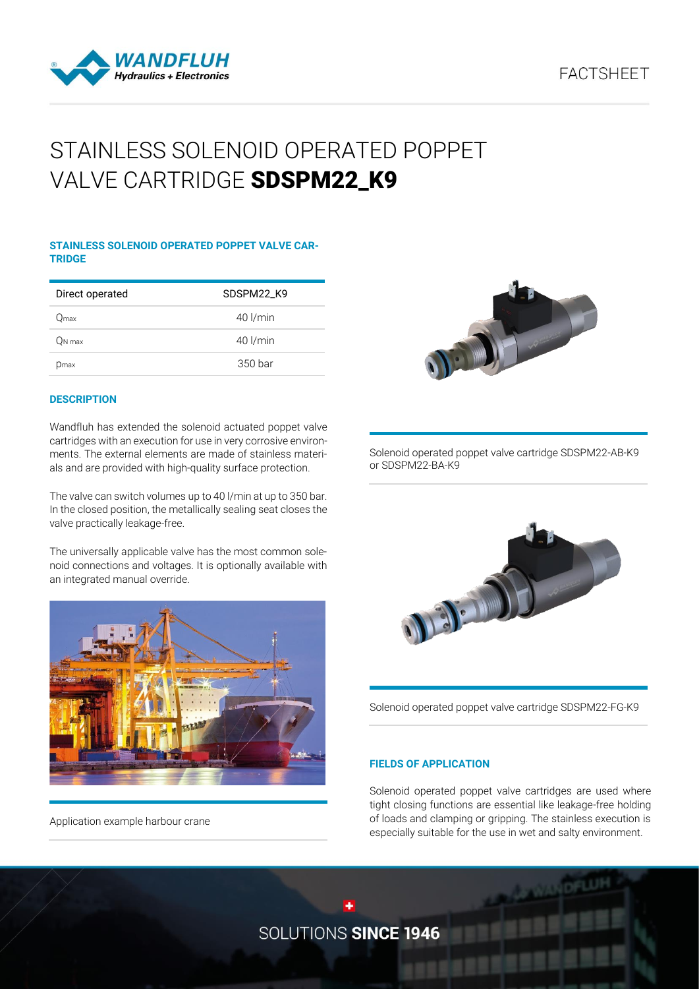# **FACTSHEET**



# STAINLESS SOLENOID OPERATED POPPET VALVE CARTRIDGE SDSPM22\_K9

#### **STAINLESS SOLENOID OPERATED POPPET VALVE CAR-TRIDGE**

| Direct operated | SDSPM22 K9   |
|-----------------|--------------|
| .<br>Əmax       | $40$ $l/min$ |
| On max          | $40$ $l/min$ |
| Dmax            | 350 bar      |

#### **DESCRIPTION**

Wandfluh has extended the solenoid actuated poppet valve cartridges with an execution for use in very corrosive environments. The external elements are made of stainless materials and are provided with high-quality surface protection.

The valve can switch volumes up to 40 l/min at up to 350 bar. In the closed position, the metallically sealing seat closes the valve practically leakage-free.

The universally applicable valve has the most common solenoid connections and voltages. It is optionally available with an integrated manual override.



Application example harbour crane



Solenoid operated poppet valve cartridge SDSPM22-AB-K9 or SDSPM22-BA-K9



Solenoid operated poppet valve cartridge SDSPM22-FG-K9

#### **FIELDS OF APPLICATION**

Solenoid operated poppet valve cartridges are used where tight closing functions are essential like leakage-free holding of loads and clamping or gripping. The stainless execution is especially suitable for the use in wet and salty environment.

SOLUTIONS SINCE 1946